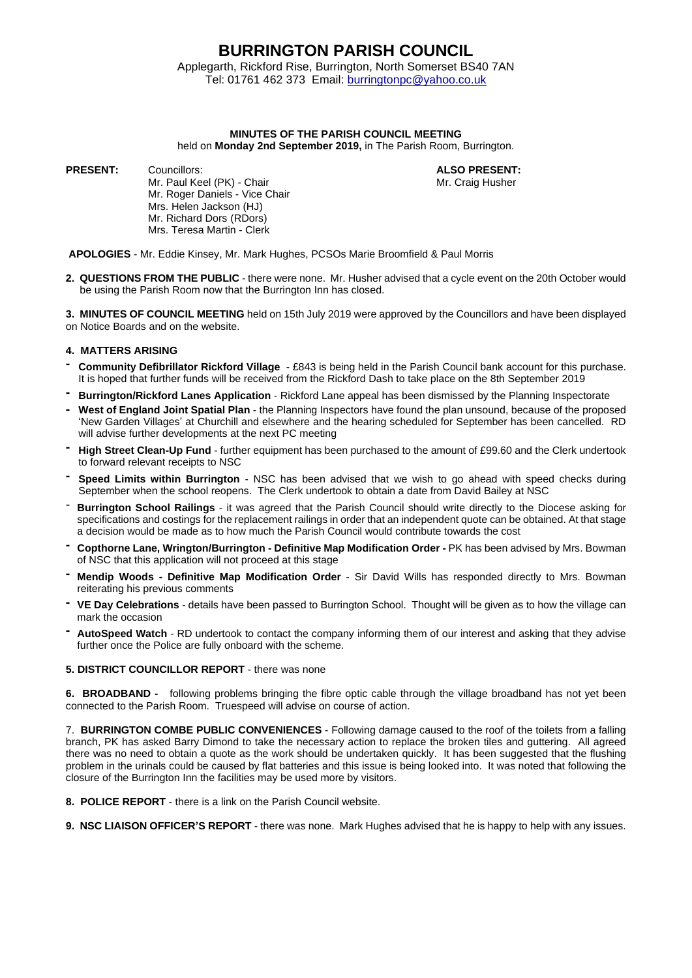## **BURRINGTON PARISH COUNCIL**

Applegarth, Rickford Rise, Burrington, North Somerset BS40 7AN Tel: 01761 462 373 Email: [burringtonpc@yahoo.co.uk](mailto:burringtonpc@yahoo.co.uk)

#### **MINUTES OF THE PARISH COUNCIL MEETING**

held on **Monday 2nd September 2019,** in The Parish Room, Burrington.

**PRESENT:** Councillors: **ALSO PRESENT:**

Mr. Paul Keel (PK) - Chair Mr. Craig Husher Mr. Craig Husher Mr. Roger Daniels - Vice Chair Mrs. Helen Jackson (HJ) Mr. Richard Dors (RDors) Mrs. Teresa Martin - Clerk

**APOLOGIES** - Mr. Eddie Kinsey, Mr. Mark Hughes, PCSOs Marie Broomfield & Paul Morris

**2. QUESTIONS FROM THE PUBLIC** - there were none. Mr. Husher advised that a cycle event on the 20th October would be using the Parish Room now that the Burrington Inn has closed.

**3. MINUTES OF COUNCIL MEETING** held on 15th July 2019 were approved by the Councillors and have been displayed on Notice Boards and on the website.

#### **4. MATTERS ARISING**

- **- Community Defibrillator Rickford Village** £843 is being held in the Parish Council bank account for this purchase. It is hoped that further funds will be received from the Rickford Dash to take place on the 8th September 2019
- **- Burrington/Rickford Lanes Application** Rickford Lane appeal has been dismissed by the Planning Inspectorate
- **- West of England Joint Spatial Plan** the Planning Inspectors have found the plan unsound, because of the proposed 'New Garden Villages' at Churchill and elsewhere and the hearing scheduled for September has been cancelled. RD will advise further developments at the next PC meeting
- **- High Street Clean-Up Fund** further equipment has been purchased to the amount of £99.60 and the Clerk undertook to forward relevant receipts to NSC
- **- Speed Limits within Burrington** NSC has been advised that we wish to go ahead with speed checks during September when the school reopens. The Clerk undertook to obtain a date from David Bailey at NSC
- **Burrington School Railings** it was agreed that the Parish Council should write directly to the Diocese asking for specifications and costings for the replacement railings in order that an independent quote can be obtained. At that stage a decision would be made as to how much the Parish Council would contribute towards the cost
- **- Copthorne Lane, Wrington/Burrington - Definitive Map Modification Order -** PK has been advised by Mrs. Bowman of NSC that this application will not proceed at this stage
- **- Mendip Woods - Definitive Map Modification Order** Sir David Wills has responded directly to Mrs. Bowman reiterating his previous comments
- **- VE Day Celebrations** details have been passed to Burrington School. Thought will be given as to how the village can mark the occasion
- **- AutoSpeed Watch** RD undertook to contact the company informing them of our interest and asking that they advise further once the Police are fully onboard with the scheme.

#### **5. DISTRICT COUNCILLOR REPORT** - there was none

**6. BROADBAND -** following problems bringing the fibre optic cable through the village broadband has not yet been connected to the Parish Room. Truespeed will advise on course of action.

7. **BURRINGTON COMBE PUBLIC CONVENIENCES** - Following damage caused to the roof of the toilets from a falling branch, PK has asked Barry Dimond to take the necessary action to replace the broken tiles and guttering. All agreed there was no need to obtain a quote as the work should be undertaken quickly. It has been suggested that the flushing problem in the urinals could be caused by flat batteries and this issue is being looked into. It was noted that following the closure of the Burrington Inn the facilities may be used more by visitors.

**8. POLICE REPORT** - there is a link on the Parish Council website.

**9. NSC LIAISON OFFICER'S REPORT** - there was none. Mark Hughes advised that he is happy to help with any issues.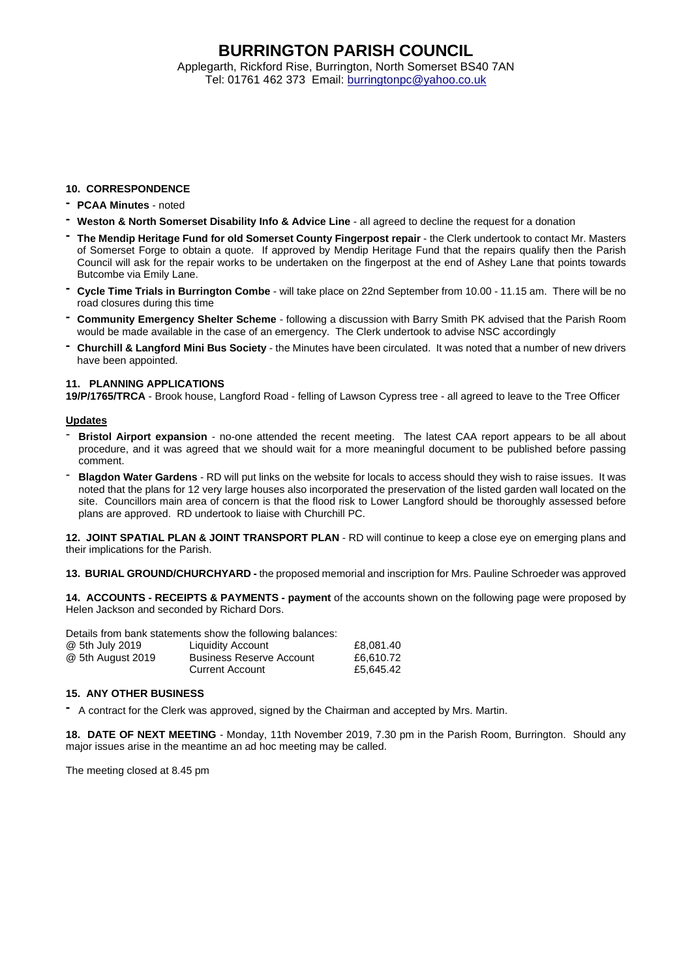## **BURRINGTON PARISH COUNCIL**

Applegarth, Rickford Rise, Burrington, North Somerset BS40 7AN Tel: 01761 462 373 Email: [burringtonpc@yahoo.co.uk](mailto:burringtonpc@yahoo.co.uk)

#### **10. CORRESPONDENCE**

- **- PCAA Minutes** noted
- **- Weston & North Somerset Disability Info & Advice Line** all agreed to decline the request for a donation
- **- The Mendip Heritage Fund for old Somerset County Fingerpost repair** the Clerk undertook to contact Mr. Masters of Somerset Forge to obtain a quote. If approved by Mendip Heritage Fund that the repairs qualify then the Parish Council will ask for the repair works to be undertaken on the fingerpost at the end of Ashey Lane that points towards Butcombe via Emily Lane.
- **- Cycle Time Trials in Burrington Combe** will take place on 22nd September from 10.00 11.15 am. There will be no road closures during this time
- **- Community Emergency Shelter Scheme** following a discussion with Barry Smith PK advised that the Parish Room would be made available in the case of an emergency. The Clerk undertook to advise NSC accordingly
- **- Churchill & Langford Mini Bus Society** the Minutes have been circulated. It was noted that a number of new drivers have been appointed.

#### **11. PLANNING APPLICATIONS**

**19/P/1765/TRCA** - Brook house, Langford Road - felling of Lawson Cypress tree - all agreed to leave to the Tree Officer

#### **Updates**

- **Bristol Airport expansion** no-one attended the recent meeting. The latest CAA report appears to be all about procedure, and it was agreed that we should wait for a more meaningful document to be published before passing comment.
- **Blagdon Water Gardens** RD will put links on the website for locals to access should they wish to raise issues. It was noted that the plans for 12 very large houses also incorporated the preservation of the listed garden wall located on the site. Councillors main area of concern is that the flood risk to Lower Langford should be thoroughly assessed before plans are approved. RD undertook to liaise with Churchill PC.

**12. JOINT SPATIAL PLAN & JOINT TRANSPORT PLAN** - RD will continue to keep a close eye on emerging plans and their implications for the Parish.

**13. BURIAL GROUND/CHURCHYARD -** the proposed memorial and inscription for Mrs. Pauline Schroeder was approved

**14. ACCOUNTS - RECEIPTS & PAYMENTS - payment** of the accounts shown on the following page were proposed by Helen Jackson and seconded by Richard Dors.

Details from bank statements show the following balances: @ 5th July 2019 Liquidity Account £8,081.40 @ 5th August 2019 Business Reserve Account £6,610.72 Current Account

#### **15. ANY OTHER BUSINESS**

**-** A contract for the Clerk was approved, signed by the Chairman and accepted by Mrs. Martin.

**18. DATE OF NEXT MEETING** - Monday, 11th November 2019, 7.30 pm in the Parish Room, Burrington. Should any major issues arise in the meantime an ad hoc meeting may be called.

The meeting closed at 8.45 pm